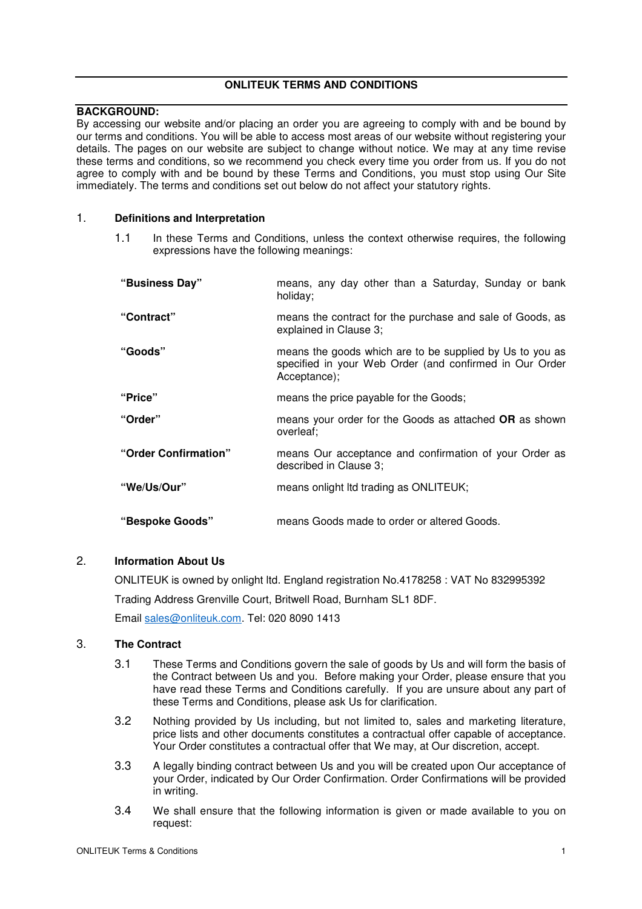# **ONLITEUK TERMS AND CONDITIONS**

# **BACKGROUND:**

By accessing our website and/or placing an order you are agreeing to comply with and be bound by our terms and conditions. You will be able to access most areas of our website without registering your details. The pages on our website are subject to change without notice. We may at any time revise these terms and conditions, so we recommend you check every time you order from us. If you do not agree to comply with and be bound by these Terms and Conditions, you must stop using Our Site immediately. The terms and conditions set out below do not affect your statutory rights.

# 1. **Definitions and Interpretation**

1.1 In these Terms and Conditions, unless the context otherwise requires, the following expressions have the following meanings:

| "Business Day"       | means, any day other than a Saturday, Sunday or bank<br>holiday;                                                                    |
|----------------------|-------------------------------------------------------------------------------------------------------------------------------------|
| "Contract"           | means the contract for the purchase and sale of Goods, as<br>explained in Clause 3;                                                 |
| "Goods"              | means the goods which are to be supplied by Us to you as<br>specified in your Web Order (and confirmed in Our Order<br>Acceptance); |
| "Price"              | means the price payable for the Goods;                                                                                              |
| "Order"              | means your order for the Goods as attached OR as shown<br>overleaf:                                                                 |
| "Order Confirmation" | means Our acceptance and confirmation of your Order as<br>described in Clause 3;                                                    |
| "We/Us/Our"          | means onlight ltd trading as ONLITEUK;                                                                                              |
| "Bespoke Goods"      | means Goods made to order or altered Goods.                                                                                         |

# 2. **Information About Us**

ONLITEUK is owned by onlight ltd. England registration No.4178258 : VAT No 832995392 Trading Address Grenville Court, Britwell Road, Burnham SL1 8DF. Email sales@onliteuk.com. Tel: 020 8090 1413

# 3. **The Contract**

- 3.1 These Terms and Conditions govern the sale of goods by Us and will form the basis of the Contract between Us and you. Before making your Order, please ensure that you have read these Terms and Conditions carefully. If you are unsure about any part of these Terms and Conditions, please ask Us for clarification.
- 3.2 Nothing provided by Us including, but not limited to, sales and marketing literature, price lists and other documents constitutes a contractual offer capable of acceptance. Your Order constitutes a contractual offer that We may, at Our discretion, accept.
- 3.3 A legally binding contract between Us and you will be created upon Our acceptance of your Order, indicated by Our Order Confirmation. Order Confirmations will be provided in writing.
- 3.4 We shall ensure that the following information is given or made available to you on request: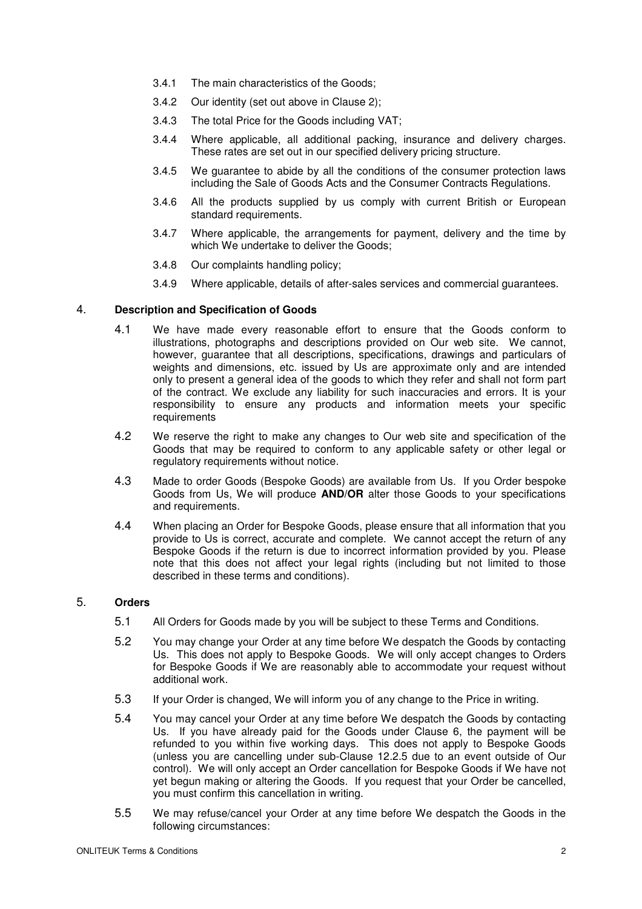- 3.4.1 The main characteristics of the Goods;
- 3.4.2 Our identity (set out above in Clause 2);
- 3.4.3 The total Price for the Goods including VAT;
- 3.4.4 Where applicable, all additional packing, insurance and delivery charges. These rates are set out in our specified delivery pricing structure.
- 3.4.5 We guarantee to abide by all the conditions of the consumer protection laws including the Sale of Goods Acts and the Consumer Contracts Regulations.
- 3.4.6 All the products supplied by us comply with current British or European standard requirements.
- 3.4.7 Where applicable, the arrangements for payment, delivery and the time by which We undertake to deliver the Goods:
- 3.4.8 Our complaints handling policy;
- 3.4.9 Where applicable, details of after-sales services and commercial guarantees.

## 4. **Description and Specification of Goods**

- 4.1 We have made every reasonable effort to ensure that the Goods conform to illustrations, photographs and descriptions provided on Our web site. We cannot, however, guarantee that all descriptions, specifications, drawings and particulars of weights and dimensions, etc. issued by Us are approximate only and are intended only to present a general idea of the goods to which they refer and shall not form part of the contract. We exclude any liability for such inaccuracies and errors. It is your responsibility to ensure any products and information meets your specific requirements
- 4.2 We reserve the right to make any changes to Our web site and specification of the Goods that may be required to conform to any applicable safety or other legal or regulatory requirements without notice.
- 4.3 Made to order Goods (Bespoke Goods) are available from Us. If you Order bespoke Goods from Us, We will produce **AND/OR** alter those Goods to your specifications and requirements.
- 4.4 When placing an Order for Bespoke Goods, please ensure that all information that you provide to Us is correct, accurate and complete. We cannot accept the return of any Bespoke Goods if the return is due to incorrect information provided by you. Please note that this does not affect your legal rights (including but not limited to those described in these terms and conditions).

# 5. **Orders**

- 5.1 All Orders for Goods made by you will be subject to these Terms and Conditions.
- 5.2 You may change your Order at any time before We despatch the Goods by contacting Us. This does not apply to Bespoke Goods. We will only accept changes to Orders for Bespoke Goods if We are reasonably able to accommodate your request without additional work.
- 5.3 If your Order is changed, We will inform you of any change to the Price in writing.
- 5.4 You may cancel your Order at any time before We despatch the Goods by contacting Us. If you have already paid for the Goods under Clause 6, the payment will be refunded to you within five working days. This does not apply to Bespoke Goods (unless you are cancelling under sub-Clause 12.2.5 due to an event outside of Our control). We will only accept an Order cancellation for Bespoke Goods if We have not yet begun making or altering the Goods. If you request that your Order be cancelled, you must confirm this cancellation in writing.
- 5.5 We may refuse/cancel your Order at any time before We despatch the Goods in the following circumstances: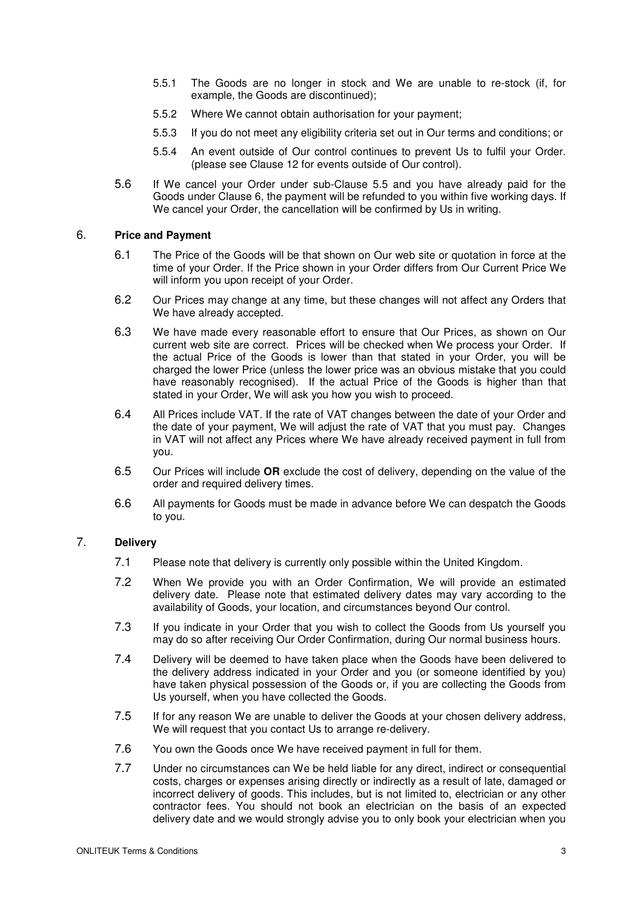- 5.5.1 The Goods are no longer in stock and We are unable to re-stock (if, for example, the Goods are discontinued);
- 5.5.2 Where We cannot obtain authorisation for your payment;
- 5.5.3 If you do not meet any eligibility criteria set out in Our terms and conditions; or
- 5.5.4 An event outside of Our control continues to prevent Us to fulfil your Order. (please see Clause 12 for events outside of Our control).
- 5.6 If We cancel your Order under sub-Clause 5.5 and you have already paid for the Goods under Clause 6, the payment will be refunded to you within five working days. If We cancel your Order, the cancellation will be confirmed by Us in writing.

# 6. **Price and Payment**

- 6.1 The Price of the Goods will be that shown on Our web site or quotation in force at the time of your Order. If the Price shown in your Order differs from Our Current Price We will inform you upon receipt of your Order.
- 6.2 Our Prices may change at any time, but these changes will not affect any Orders that We have already accepted.
- 6.3 We have made every reasonable effort to ensure that Our Prices, as shown on Our current web site are correct. Prices will be checked when We process your Order. If the actual Price of the Goods is lower than that stated in your Order, you will be charged the lower Price (unless the lower price was an obvious mistake that you could have reasonably recognised). If the actual Price of the Goods is higher than that stated in your Order, We will ask you how you wish to proceed.
- 6.4 All Prices include VAT. If the rate of VAT changes between the date of your Order and the date of your payment, We will adjust the rate of VAT that you must pay. Changes in VAT will not affect any Prices where We have already received payment in full from you.
- 6.5 Our Prices will include **OR** exclude the cost of delivery, depending on the value of the order and required delivery times.
- 6.6 All payments for Goods must be made in advance before We can despatch the Goods to you.

# 7. **Delivery**

- 7.1 Please note that delivery is currently only possible within the United Kingdom.
- 7.2 When We provide you with an Order Confirmation, We will provide an estimated delivery date. Please note that estimated delivery dates may vary according to the availability of Goods, your location, and circumstances beyond Our control.
- 7.3 If you indicate in your Order that you wish to collect the Goods from Us yourself you may do so after receiving Our Order Confirmation, during Our normal business hours.
- 7.4 Delivery will be deemed to have taken place when the Goods have been delivered to the delivery address indicated in your Order and you (or someone identified by you) have taken physical possession of the Goods or, if you are collecting the Goods from Us yourself, when you have collected the Goods.
- 7.5 If for any reason We are unable to deliver the Goods at your chosen delivery address, We will request that you contact Us to arrange re-delivery.
- 7.6 You own the Goods once We have received payment in full for them.
- 7.7 Under no circumstances can We be held liable for any direct, indirect or consequential costs, charges or expenses arising directly or indirectly as a result of late, damaged or incorrect delivery of goods. This includes, but is not limited to, electrician or any other contractor fees. You should not book an electrician on the basis of an expected delivery date and we would strongly advise you to only book your electrician when you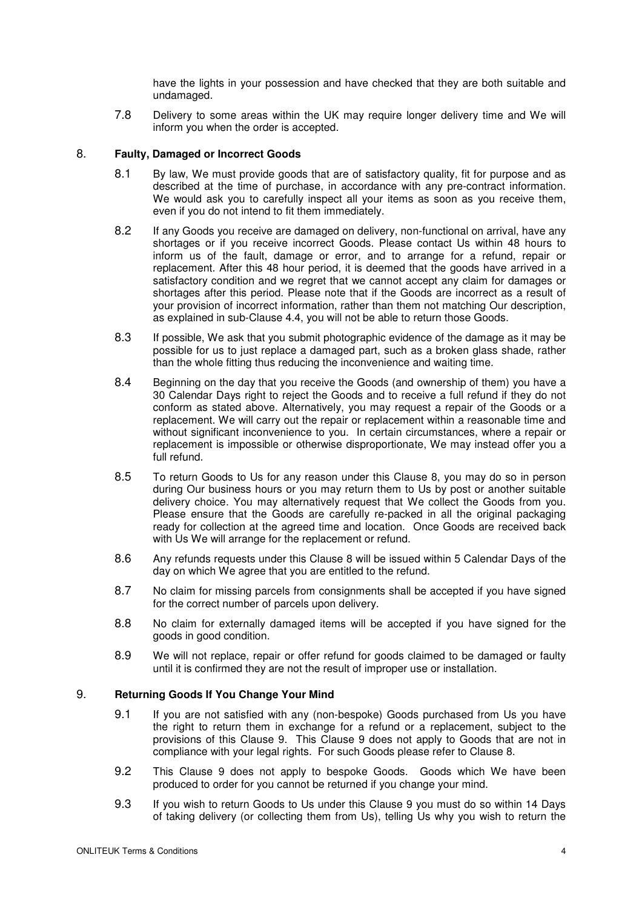have the lights in your possession and have checked that they are both suitable and undamaged.

7.8 Delivery to some areas within the UK may require longer delivery time and We will inform you when the order is accepted.

### 8. **Faulty, Damaged or Incorrect Goods**

- 8.1 By law, We must provide goods that are of satisfactory quality, fit for purpose and as described at the time of purchase, in accordance with any pre-contract information. We would ask you to carefully inspect all your items as soon as you receive them, even if you do not intend to fit them immediately.
- 8.2 If any Goods you receive are damaged on delivery, non-functional on arrival, have any shortages or if you receive incorrect Goods. Please contact Us within 48 hours to inform us of the fault, damage or error, and to arrange for a refund, repair or replacement. After this 48 hour period, it is deemed that the goods have arrived in a satisfactory condition and we regret that we cannot accept any claim for damages or shortages after this period. Please note that if the Goods are incorrect as a result of your provision of incorrect information, rather than them not matching Our description, as explained in sub-Clause 4.4, you will not be able to return those Goods.
- 8.3 If possible, We ask that you submit photographic evidence of the damage as it may be possible for us to just replace a damaged part, such as a broken glass shade, rather than the whole fitting thus reducing the inconvenience and waiting time.
- 8.4 Beginning on the day that you receive the Goods (and ownership of them) you have a 30 Calendar Days right to reject the Goods and to receive a full refund if they do not conform as stated above. Alternatively, you may request a repair of the Goods or a replacement. We will carry out the repair or replacement within a reasonable time and without significant inconvenience to you. In certain circumstances, where a repair or replacement is impossible or otherwise disproportionate, We may instead offer you a full refund.
- 8.5 To return Goods to Us for any reason under this Clause 8, you may do so in person during Our business hours or you may return them to Us by post or another suitable delivery choice. You may alternatively request that We collect the Goods from you. Please ensure that the Goods are carefully re-packed in all the original packaging ready for collection at the agreed time and location. Once Goods are received back with Us We will arrange for the replacement or refund.
- 8.6 Any refunds requests under this Clause 8 will be issued within 5 Calendar Days of the day on which We agree that you are entitled to the refund.
- 8.7 No claim for missing parcels from consignments shall be accepted if you have signed for the correct number of parcels upon delivery.
- 8.8 No claim for externally damaged items will be accepted if you have signed for the goods in good condition.
- 8.9 We will not replace, repair or offer refund for goods claimed to be damaged or faulty until it is confirmed they are not the result of improper use or installation.

## 9. **Returning Goods If You Change Your Mind**

- 9.1 If you are not satisfied with any (non-bespoke) Goods purchased from Us you have the right to return them in exchange for a refund or a replacement, subject to the provisions of this Clause 9. This Clause 9 does not apply to Goods that are not in compliance with your legal rights. For such Goods please refer to Clause 8.
- 9.2 This Clause 9 does not apply to bespoke Goods. Goods which We have been produced to order for you cannot be returned if you change your mind.
- 9.3 If you wish to return Goods to Us under this Clause 9 you must do so within 14 Days of taking delivery (or collecting them from Us), telling Us why you wish to return the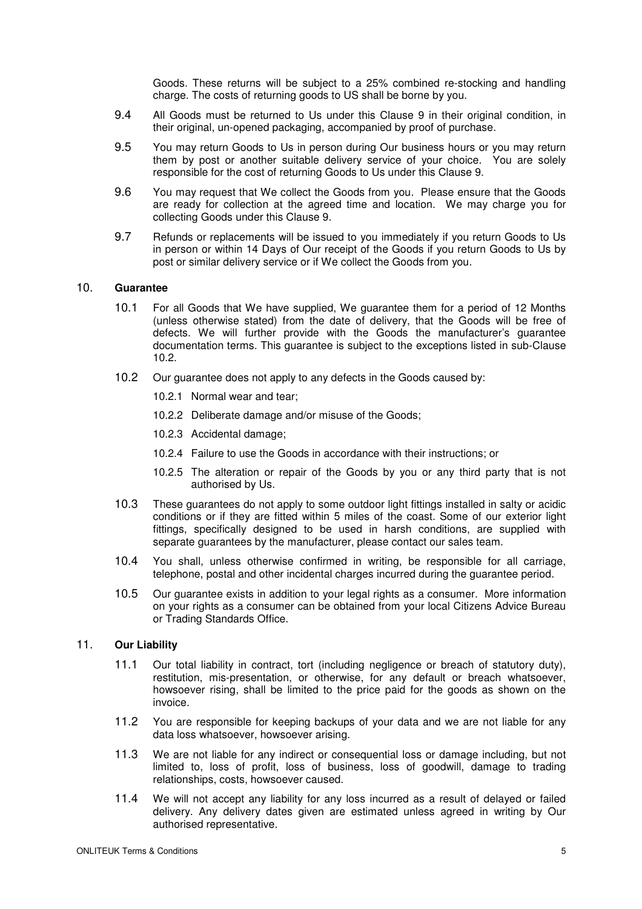Goods. These returns will be subject to a 25% combined re-stocking and handling charge. The costs of returning goods to US shall be borne by you.

- 9.4 All Goods must be returned to Us under this Clause 9 in their original condition, in their original, un-opened packaging, accompanied by proof of purchase.
- 9.5 You may return Goods to Us in person during Our business hours or you may return them by post or another suitable delivery service of your choice. You are solely responsible for the cost of returning Goods to Us under this Clause 9.
- 9.6 You may request that We collect the Goods from you. Please ensure that the Goods are ready for collection at the agreed time and location. We may charge you for collecting Goods under this Clause 9.
- 9.7 Refunds or replacements will be issued to you immediately if you return Goods to Us in person or within 14 Days of Our receipt of the Goods if you return Goods to Us by post or similar delivery service or if We collect the Goods from you.

#### 10. **Guarantee**

- 10.1 For all Goods that We have supplied, We guarantee them for a period of 12 Months (unless otherwise stated) from the date of delivery, that the Goods will be free of defects. We will further provide with the Goods the manufacturer's guarantee documentation terms. This guarantee is subject to the exceptions listed in sub-Clause 10.2.
- 10.2 Our guarantee does not apply to any defects in the Goods caused by:
	- 10.2.1 Normal wear and tear;
	- 10.2.2 Deliberate damage and/or misuse of the Goods;
	- 10.2.3 Accidental damage;
	- 10.2.4 Failure to use the Goods in accordance with their instructions; or
	- 10.2.5 The alteration or repair of the Goods by you or any third party that is not authorised by Us.
- 10.3 These guarantees do not apply to some outdoor light fittings installed in salty or acidic conditions or if they are fitted within 5 miles of the coast. Some of our exterior light fittings, specifically designed to be used in harsh conditions, are supplied with separate guarantees by the manufacturer, please contact our sales team.
- 10.4 You shall, unless otherwise confirmed in writing, be responsible for all carriage, telephone, postal and other incidental charges incurred during the guarantee period.
- 10.5 Our guarantee exists in addition to your legal rights as a consumer. More information on your rights as a consumer can be obtained from your local Citizens Advice Bureau or Trading Standards Office.

#### 11. **Our Liability**

- 11.1 Our total liability in contract, tort (including negligence or breach of statutory duty), restitution, mis-presentation, or otherwise, for any default or breach whatsoever, howsoever rising, shall be limited to the price paid for the goods as shown on the invoice.
- 11.2 You are responsible for keeping backups of your data and we are not liable for any data loss whatsoever, howsoever arising.
- 11.3 We are not liable for any indirect or consequential loss or damage including, but not limited to, loss of profit, loss of business, loss of goodwill, damage to trading relationships, costs, howsoever caused.
- 11.4 We will not accept any liability for any loss incurred as a result of delayed or failed delivery. Any delivery dates given are estimated unless agreed in writing by Our authorised representative.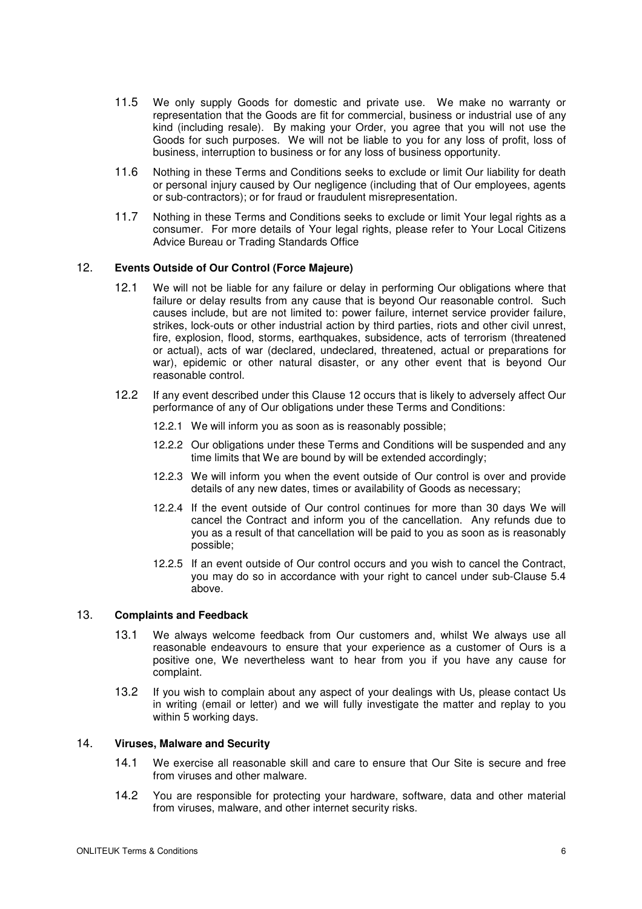- 11.5 We only supply Goods for domestic and private use. We make no warranty or representation that the Goods are fit for commercial, business or industrial use of any kind (including resale). By making your Order, you agree that you will not use the Goods for such purposes. We will not be liable to you for any loss of profit, loss of business, interruption to business or for any loss of business opportunity.
- 11.6 Nothing in these Terms and Conditions seeks to exclude or limit Our liability for death or personal injury caused by Our negligence (including that of Our employees, agents or sub-contractors); or for fraud or fraudulent misrepresentation.
- 11.7 Nothing in these Terms and Conditions seeks to exclude or limit Your legal rights as a consumer. For more details of Your legal rights, please refer to Your Local Citizens Advice Bureau or Trading Standards Office

## 12. **Events Outside of Our Control (Force Majeure)**

- 12.1 We will not be liable for any failure or delay in performing Our obligations where that failure or delay results from any cause that is beyond Our reasonable control. Such causes include, but are not limited to: power failure, internet service provider failure, strikes, lock-outs or other industrial action by third parties, riots and other civil unrest, fire, explosion, flood, storms, earthquakes, subsidence, acts of terrorism (threatened or actual), acts of war (declared, undeclared, threatened, actual or preparations for war), epidemic or other natural disaster, or any other event that is beyond Our reasonable control.
- 12.2 If any event described under this Clause 12 occurs that is likely to adversely affect Our performance of any of Our obligations under these Terms and Conditions:
	- 12.2.1 We will inform you as soon as is reasonably possible;
	- 12.2.2 Our obligations under these Terms and Conditions will be suspended and any time limits that We are bound by will be extended accordingly;
	- 12.2.3 We will inform you when the event outside of Our control is over and provide details of any new dates, times or availability of Goods as necessary;
	- 12.2.4 If the event outside of Our control continues for more than 30 days We will cancel the Contract and inform you of the cancellation. Any refunds due to you as a result of that cancellation will be paid to you as soon as is reasonably possible;
	- 12.2.5 If an event outside of Our control occurs and you wish to cancel the Contract, you may do so in accordance with your right to cancel under sub-Clause 5.4 above.

#### 13. **Complaints and Feedback**

- 13.1 We always welcome feedback from Our customers and, whilst We always use all reasonable endeavours to ensure that your experience as a customer of Ours is a positive one, We nevertheless want to hear from you if you have any cause for complaint.
- 13.2 If you wish to complain about any aspect of your dealings with Us, please contact Us in writing (email or letter) and we will fully investigate the matter and replay to you within 5 working days.

# 14. **Viruses, Malware and Security**

- 14.1 We exercise all reasonable skill and care to ensure that Our Site is secure and free from viruses and other malware.
- 14.2 You are responsible for protecting your hardware, software, data and other material from viruses, malware, and other internet security risks.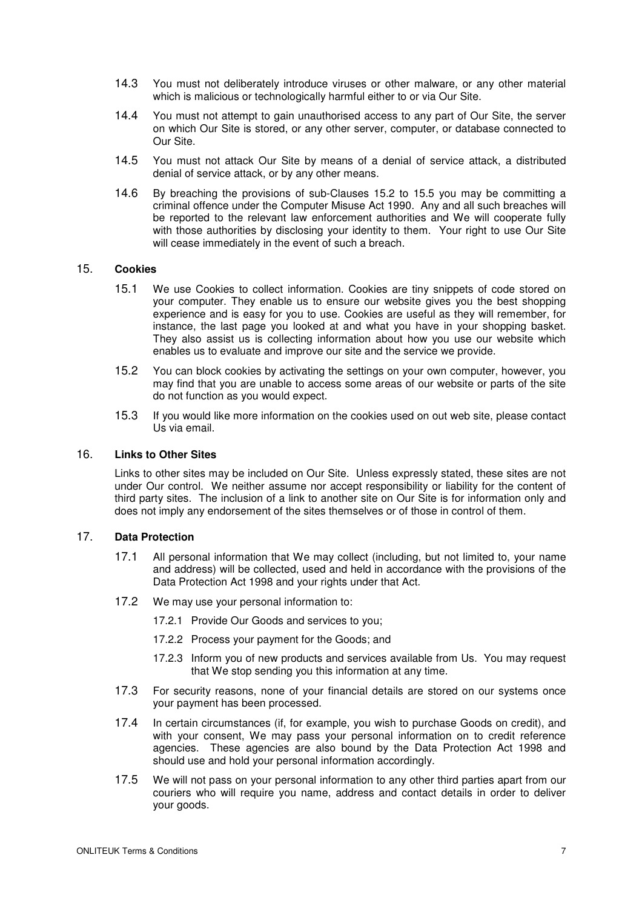- 14.3 You must not deliberately introduce viruses or other malware, or any other material which is malicious or technologically harmful either to or via Our Site.
- 14.4 You must not attempt to gain unauthorised access to any part of Our Site, the server on which Our Site is stored, or any other server, computer, or database connected to Our Site.
- 14.5 You must not attack Our Site by means of a denial of service attack, a distributed denial of service attack, or by any other means.
- 14.6 By breaching the provisions of sub-Clauses 15.2 to 15.5 you may be committing a criminal offence under the Computer Misuse Act 1990. Any and all such breaches will be reported to the relevant law enforcement authorities and We will cooperate fully with those authorities by disclosing your identity to them. Your right to use Our Site will cease immediately in the event of such a breach.

### 15. **Cookies**

- 15.1 We use Cookies to collect information. Cookies are tiny snippets of code stored on your computer. They enable us to ensure our website gives you the best shopping experience and is easy for you to use. Cookies are useful as they will remember, for instance, the last page you looked at and what you have in your shopping basket. They also assist us is collecting information about how you use our website which enables us to evaluate and improve our site and the service we provide.
- 15.2 You can block cookies by activating the settings on your own computer, however, you may find that you are unable to access some areas of our website or parts of the site do not function as you would expect.
- 15.3 If you would like more information on the cookies used on out web site, please contact Us via email.

#### 16. **Links to Other Sites**

Links to other sites may be included on Our Site. Unless expressly stated, these sites are not under Our control. We neither assume nor accept responsibility or liability for the content of third party sites. The inclusion of a link to another site on Our Site is for information only and does not imply any endorsement of the sites themselves or of those in control of them.

### 17. **Data Protection**

- 17.1 All personal information that We may collect (including, but not limited to, your name and address) will be collected, used and held in accordance with the provisions of the Data Protection Act 1998 and your rights under that Act.
- 17.2 We may use your personal information to:
	- 17.2.1 Provide Our Goods and services to you;
	- 17.2.2 Process your payment for the Goods; and
	- 17.2.3 Inform you of new products and services available from Us. You may request that We stop sending you this information at any time.
- 17.3 For security reasons, none of your financial details are stored on our systems once your payment has been processed.
- 17.4 In certain circumstances (if, for example, you wish to purchase Goods on credit), and with your consent, We may pass your personal information on to credit reference agencies. These agencies are also bound by the Data Protection Act 1998 and should use and hold your personal information accordingly.
- 17.5 We will not pass on your personal information to any other third parties apart from our couriers who will require you name, address and contact details in order to deliver your goods.